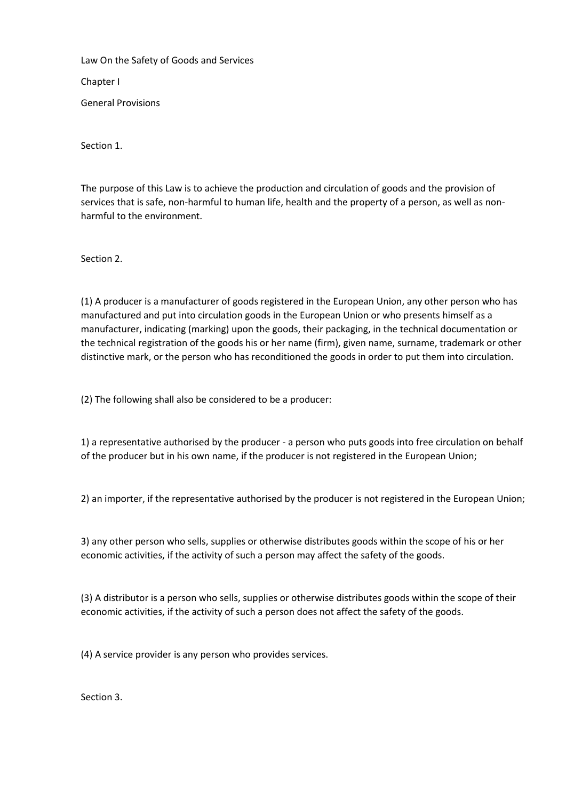Law On the Safety of Goods and Services

Chapter I

General Provisions

Section 1.

The purpose of this Law is to achieve the production and circulation of goods and the provision of services that is safe, non-harmful to human life, health and the property of a person, as well as nonharmful to the environment.

Section 2.

(1) A producer is a manufacturer of goods registered in the European Union, any other person who has manufactured and put into circulation goods in the European Union or who presents himself as a manufacturer, indicating (marking) upon the goods, their packaging, in the technical documentation or the technical registration of the goods his or her name (firm), given name, surname, trademark or other distinctive mark, or the person who has reconditioned the goods in order to put them into circulation.

(2) The following shall also be considered to be a producer:

1) a representative authorised by the producer - a person who puts goods into free circulation on behalf of the producer but in his own name, if the producer is not registered in the European Union;

2) an importer, if the representative authorised by the producer is not registered in the European Union;

3) any other person who sells, supplies or otherwise distributes goods within the scope of his or her economic activities, if the activity of such a person may affect the safety of the goods.

(3) A distributor is a person who sells, supplies or otherwise distributes goods within the scope of their economic activities, if the activity of such a person does not affect the safety of the goods.

(4) A service provider is any person who provides services.

Section 3.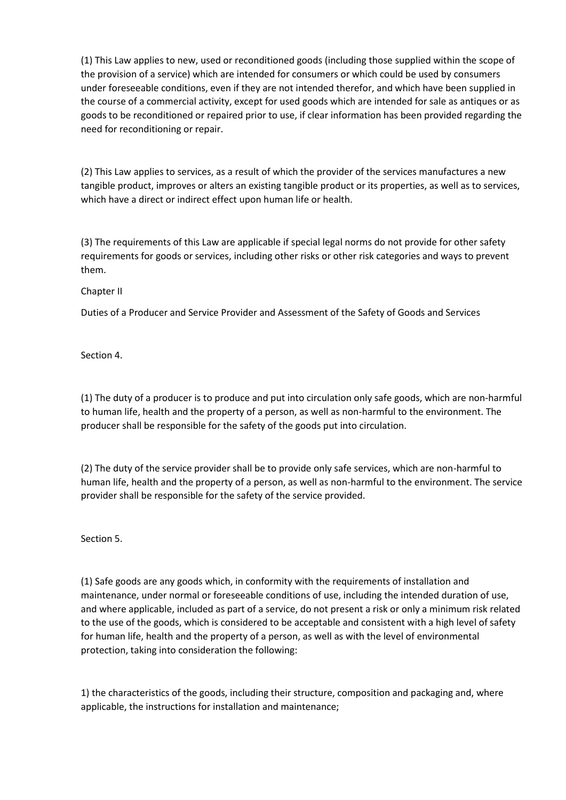(1) This Law applies to new, used or reconditioned goods (including those supplied within the scope of the provision of a service) which are intended for consumers or which could be used by consumers under foreseeable conditions, even if they are not intended therefor, and which have been supplied in the course of a commercial activity, except for used goods which are intended for sale as antiques or as goods to be reconditioned or repaired prior to use, if clear information has been provided regarding the need for reconditioning or repair.

(2) This Law applies to services, as a result of which the provider of the services manufactures a new tangible product, improves or alters an existing tangible product or its properties, as well as to services, which have a direct or indirect effect upon human life or health.

(3) The requirements of this Law are applicable if special legal norms do not provide for other safety requirements for goods or services, including other risks or other risk categories and ways to prevent them.

Chapter II

Duties of a Producer and Service Provider and Assessment of the Safety of Goods and Services

Section 4.

(1) The duty of a producer is to produce and put into circulation only safe goods, which are non-harmful to human life, health and the property of a person, as well as non-harmful to the environment. The producer shall be responsible for the safety of the goods put into circulation.

(2) The duty of the service provider shall be to provide only safe services, which are non-harmful to human life, health and the property of a person, as well as non-harmful to the environment. The service provider shall be responsible for the safety of the service provided.

Section 5.

(1) Safe goods are any goods which, in conformity with the requirements of installation and maintenance, under normal or foreseeable conditions of use, including the intended duration of use, and where applicable, included as part of a service, do not present a risk or only a minimum risk related to the use of the goods, which is considered to be acceptable and consistent with a high level of safety for human life, health and the property of a person, as well as with the level of environmental protection, taking into consideration the following:

1) the characteristics of the goods, including their structure, composition and packaging and, where applicable, the instructions for installation and maintenance;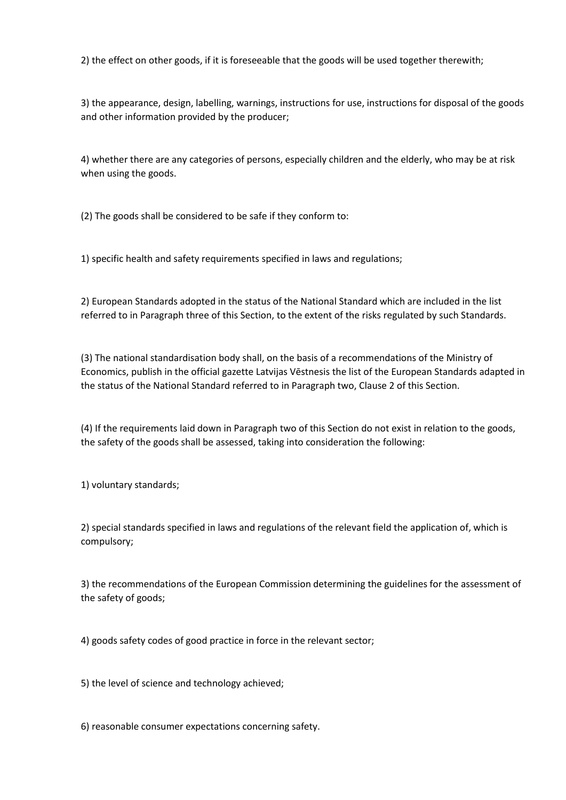2) the effect on other goods, if it is foreseeable that the goods will be used together therewith;

3) the appearance, design, labelling, warnings, instructions for use, instructions for disposal of the goods and other information provided by the producer;

4) whether there are any categories of persons, especially children and the elderly, who may be at risk when using the goods.

(2) The goods shall be considered to be safe if they conform to:

1) specific health and safety requirements specified in laws and regulations;

2) European Standards adopted in the status of the National Standard which are included in the list referred to in Paragraph three of this Section, to the extent of the risks regulated by such Standards.

(3) The national standardisation body shall, on the basis of a recommendations of the Ministry of Economics, publish in the official gazette Latvijas Vēstnesis the list of the European Standards adapted in the status of the National Standard referred to in Paragraph two, Clause 2 of this Section.

(4) If the requirements laid down in Paragraph two of this Section do not exist in relation to the goods, the safety of the goods shall be assessed, taking into consideration the following:

1) voluntary standards;

2) special standards specified in laws and regulations of the relevant field the application of, which is compulsory;

3) the recommendations of the European Commission determining the guidelines for the assessment of the safety of goods;

4) goods safety codes of good practice in force in the relevant sector;

5) the level of science and technology achieved;

6) reasonable consumer expectations concerning safety.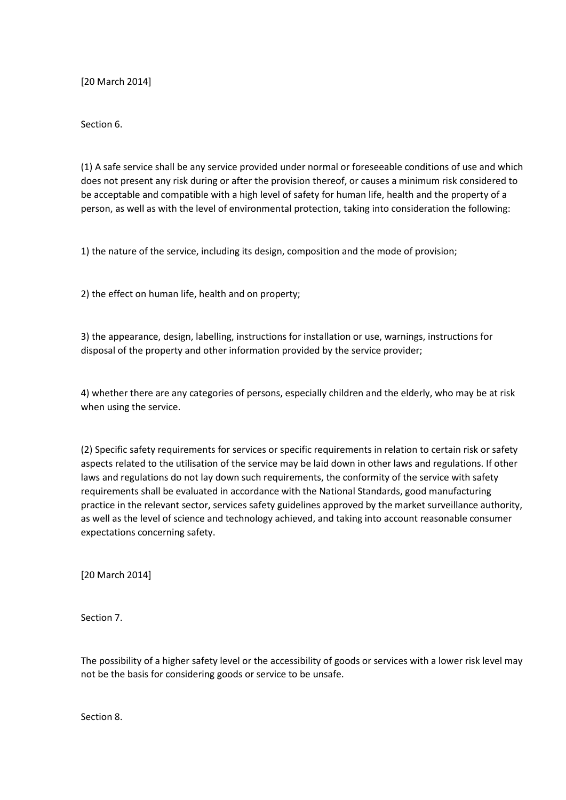[20 March 2014]

Section 6.

(1) A safe service shall be any service provided under normal or foreseeable conditions of use and which does not present any risk during or after the provision thereof, or causes a minimum risk considered to be acceptable and compatible with a high level of safety for human life, health and the property of a person, as well as with the level of environmental protection, taking into consideration the following:

1) the nature of the service, including its design, composition and the mode of provision;

2) the effect on human life, health and on property;

3) the appearance, design, labelling, instructions for installation or use, warnings, instructions for disposal of the property and other information provided by the service provider;

4) whether there are any categories of persons, especially children and the elderly, who may be at risk when using the service.

(2) Specific safety requirements for services or specific requirements in relation to certain risk or safety aspects related to the utilisation of the service may be laid down in other laws and regulations. If other laws and regulations do not lay down such requirements, the conformity of the service with safety requirements shall be evaluated in accordance with the National Standards, good manufacturing practice in the relevant sector, services safety guidelines approved by the market surveillance authority, as well as the level of science and technology achieved, and taking into account reasonable consumer expectations concerning safety.

[20 March 2014]

Section 7.

The possibility of a higher safety level or the accessibility of goods or services with a lower risk level may not be the basis for considering goods or service to be unsafe.

Section 8.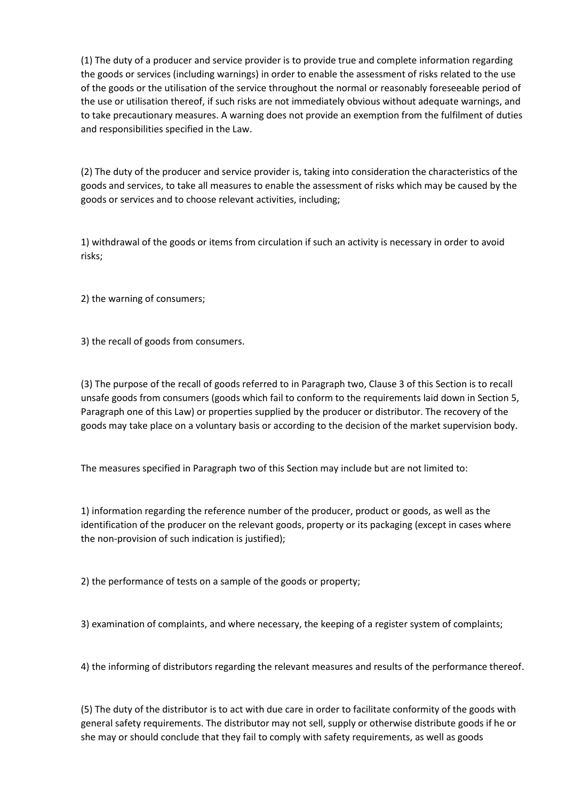(1) The duty of a producer and service provider is to provide true and complete information regarding the goods or services (including warnings) in order to enable the assessment of risks related to the use of the goods or the utilisation of the service throughout the normal or reasonably foreseeable period of the use or utilisation thereof, if such risks are not immediately obvious without adequate warnings, and to take precautionary measures. A warning does not provide an exemption from the fulfilment of duties and responsibilities specified in the Law.

(2) The duty of the producer and service provider is, taking into consideration the characteristics of the goods and services, to take all measures to enable the assessment of risks which may be caused by the goods or services and to choose relevant activities, including;

1) withdrawal of the goods or items from circulation if such an activity is necessary in order to avoid risks;

2) the warning of consumers;

3) the recall of goods from consumers.

(3) The purpose of the recall of goods referred to in Paragraph two, Clause 3 of this Section is to recall unsafe goods from consumers (goods which fail to conform to the requirements laid down in Section 5, Paragraph one of this Law) or properties supplied by the producer or distributor. The recovery of the goods may take place on a voluntary basis or according to the decision of the market supervision body.

The measures specified in Paragraph two of this Section may include but are not limited to:

1) information regarding the reference number of the producer, product or goods, as well as the identification of the producer on the relevant goods, property or its packaging (except in cases where the non-provision of such indication is justified);

2) the performance of tests on a sample of the goods or property;

3) examination of complaints, and where necessary, the keeping of a register system of complaints;

4) the informing of distributors regarding the relevant measures and results of the performance thereof.

(5) The duty of the distributor is to act with due care in order to facilitate conformity of the goods with general safety requirements. The distributor may not sell, supply or otherwise distribute goods if he or she may or should conclude that they fail to comply with safety requirements, as well as goods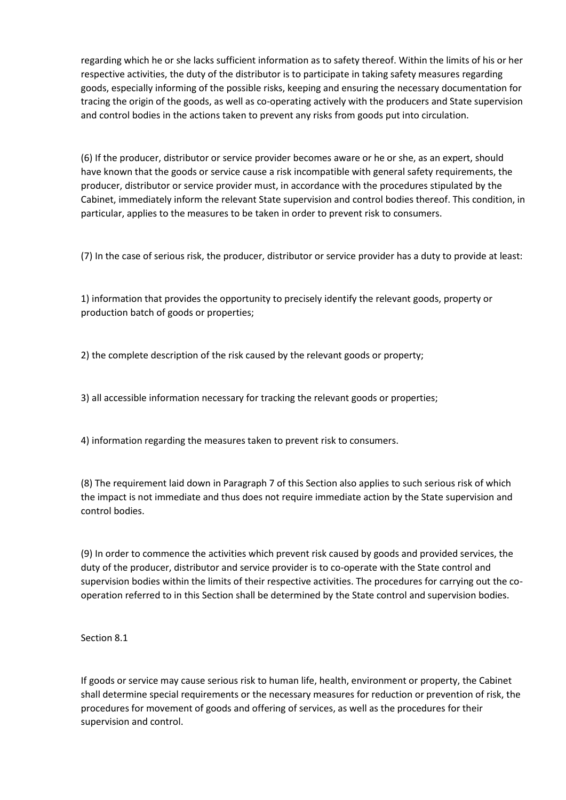regarding which he or she lacks sufficient information as to safety thereof. Within the limits of his or her respective activities, the duty of the distributor is to participate in taking safety measures regarding goods, especially informing of the possible risks, keeping and ensuring the necessary documentation for tracing the origin of the goods, as well as co-operating actively with the producers and State supervision and control bodies in the actions taken to prevent any risks from goods put into circulation.

(6) If the producer, distributor or service provider becomes aware or he or she, as an expert, should have known that the goods or service cause a risk incompatible with general safety requirements, the producer, distributor or service provider must, in accordance with the procedures stipulated by the Cabinet, immediately inform the relevant State supervision and control bodies thereof. This condition, in particular, applies to the measures to be taken in order to prevent risk to consumers.

(7) In the case of serious risk, the producer, distributor or service provider has a duty to provide at least:

1) information that provides the opportunity to precisely identify the relevant goods, property or production batch of goods or properties;

2) the complete description of the risk caused by the relevant goods or property;

3) all accessible information necessary for tracking the relevant goods or properties;

4) information regarding the measures taken to prevent risk to consumers.

(8) The requirement laid down in Paragraph 7 of this Section also applies to such serious risk of which the impact is not immediate and thus does not require immediate action by the State supervision and control bodies.

(9) In order to commence the activities which prevent risk caused by goods and provided services, the duty of the producer, distributor and service provider is to co-operate with the State control and supervision bodies within the limits of their respective activities. The procedures for carrying out the cooperation referred to in this Section shall be determined by the State control and supervision bodies.

Section 8.1

If goods or service may cause serious risk to human life, health, environment or property, the Cabinet shall determine special requirements or the necessary measures for reduction or prevention of risk, the procedures for movement of goods and offering of services, as well as the procedures for their supervision and control.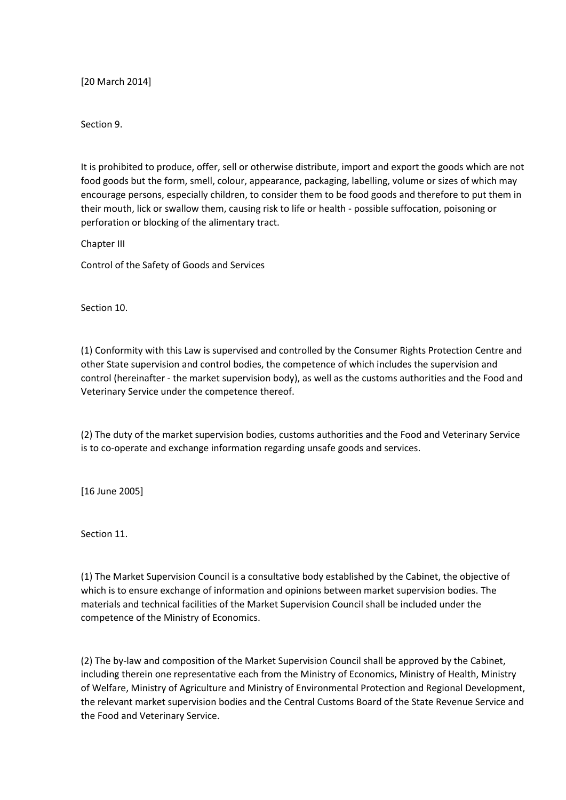[20 March 2014]

Section 9.

It is prohibited to produce, offer, sell or otherwise distribute, import and export the goods which are not food goods but the form, smell, colour, appearance, packaging, labelling, volume or sizes of which may encourage persons, especially children, to consider them to be food goods and therefore to put them in their mouth, lick or swallow them, causing risk to life or health - possible suffocation, poisoning or perforation or blocking of the alimentary tract.

Chapter III

Control of the Safety of Goods and Services

Section 10.

(1) Conformity with this Law is supervised and controlled by the Consumer Rights Protection Centre and other State supervision and control bodies, the competence of which includes the supervision and control (hereinafter - the market supervision body), as well as the customs authorities and the Food and Veterinary Service under the competence thereof.

(2) The duty of the market supervision bodies, customs authorities and the Food and Veterinary Service is to co-operate and exchange information regarding unsafe goods and services.

[16 June 2005]

Section 11.

(1) The Market Supervision Council is a consultative body established by the Cabinet, the objective of which is to ensure exchange of information and opinions between market supervision bodies. The materials and technical facilities of the Market Supervision Council shall be included under the competence of the Ministry of Economics.

(2) The by-law and composition of the Market Supervision Council shall be approved by the Cabinet, including therein one representative each from the Ministry of Economics, Ministry of Health, Ministry of Welfare, Ministry of Agriculture and Ministry of Environmental Protection and Regional Development, the relevant market supervision bodies and the Central Customs Board of the State Revenue Service and the Food and Veterinary Service.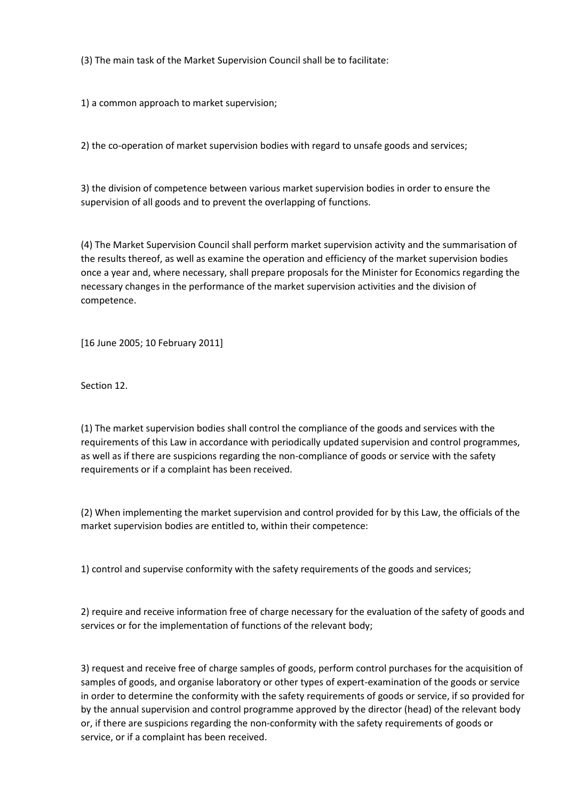(3) The main task of the Market Supervision Council shall be to facilitate:

1) a common approach to market supervision;

2) the co-operation of market supervision bodies with regard to unsafe goods and services;

3) the division of competence between various market supervision bodies in order to ensure the supervision of all goods and to prevent the overlapping of functions.

(4) The Market Supervision Council shall perform market supervision activity and the summarisation of the results thereof, as well as examine the operation and efficiency of the market supervision bodies once a year and, where necessary, shall prepare proposals for the Minister for Economics regarding the necessary changes in the performance of the market supervision activities and the division of competence.

[16 June 2005; 10 February 2011]

Section 12.

(1) The market supervision bodies shall control the compliance of the goods and services with the requirements of this Law in accordance with periodically updated supervision and control programmes, as well as if there are suspicions regarding the non-compliance of goods or service with the safety requirements or if a complaint has been received.

(2) When implementing the market supervision and control provided for by this Law, the officials of the market supervision bodies are entitled to, within their competence:

1) control and supervise conformity with the safety requirements of the goods and services;

2) require and receive information free of charge necessary for the evaluation of the safety of goods and services or for the implementation of functions of the relevant body;

3) request and receive free of charge samples of goods, perform control purchases for the acquisition of samples of goods, and organise laboratory or other types of expert-examination of the goods or service in order to determine the conformity with the safety requirements of goods or service, if so provided for by the annual supervision and control programme approved by the director (head) of the relevant body or, if there are suspicions regarding the non-conformity with the safety requirements of goods or service, or if a complaint has been received.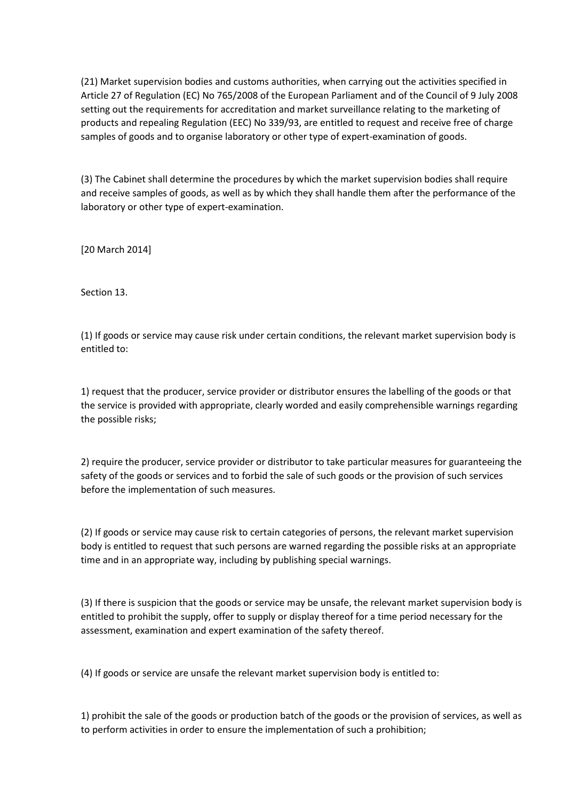(21) Market supervision bodies and customs authorities, when carrying out the activities specified in Article 27 of Regulation (EC) No 765/2008 of the European Parliament and of the Council of 9 July 2008 setting out the requirements for accreditation and market surveillance relating to the marketing of products and repealing Regulation (EEC) No 339/93, are entitled to request and receive free of charge samples of goods and to organise laboratory or other type of expert-examination of goods.

(3) The Cabinet shall determine the procedures by which the market supervision bodies shall require and receive samples of goods, as well as by which they shall handle them after the performance of the laboratory or other type of expert-examination.

[20 March 2014]

Section 13.

(1) If goods or service may cause risk under certain conditions, the relevant market supervision body is entitled to:

1) request that the producer, service provider or distributor ensures the labelling of the goods or that the service is provided with appropriate, clearly worded and easily comprehensible warnings regarding the possible risks;

2) require the producer, service provider or distributor to take particular measures for guaranteeing the safety of the goods or services and to forbid the sale of such goods or the provision of such services before the implementation of such measures.

(2) If goods or service may cause risk to certain categories of persons, the relevant market supervision body is entitled to request that such persons are warned regarding the possible risks at an appropriate time and in an appropriate way, including by publishing special warnings.

(3) If there is suspicion that the goods or service may be unsafe, the relevant market supervision body is entitled to prohibit the supply, offer to supply or display thereof for a time period necessary for the assessment, examination and expert examination of the safety thereof.

(4) If goods or service are unsafe the relevant market supervision body is entitled to:

1) prohibit the sale of the goods or production batch of the goods or the provision of services, as well as to perform activities in order to ensure the implementation of such a prohibition;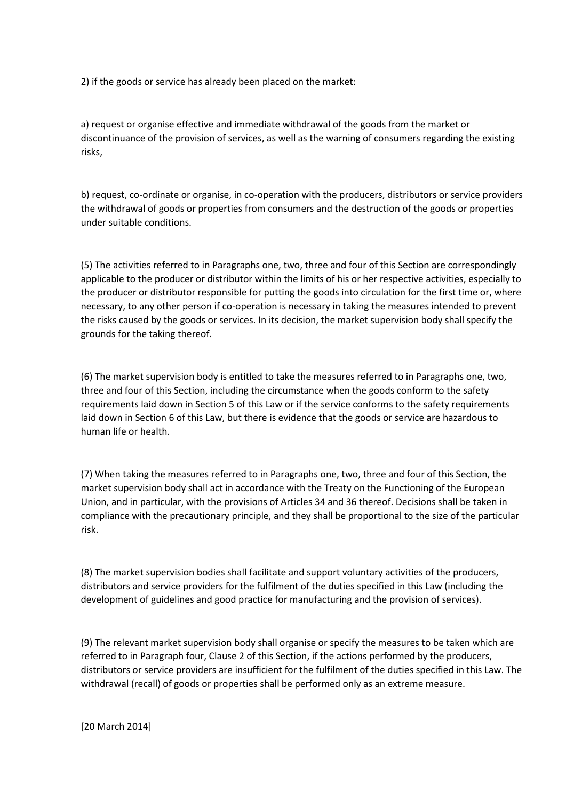2) if the goods or service has already been placed on the market:

a) request or organise effective and immediate withdrawal of the goods from the market or discontinuance of the provision of services, as well as the warning of consumers regarding the existing risks,

b) request, co-ordinate or organise, in co-operation with the producers, distributors or service providers the withdrawal of goods or properties from consumers and the destruction of the goods or properties under suitable conditions.

(5) The activities referred to in Paragraphs one, two, three and four of this Section are correspondingly applicable to the producer or distributor within the limits of his or her respective activities, especially to the producer or distributor responsible for putting the goods into circulation for the first time or, where necessary, to any other person if co-operation is necessary in taking the measures intended to prevent the risks caused by the goods or services. In its decision, the market supervision body shall specify the grounds for the taking thereof.

(6) The market supervision body is entitled to take the measures referred to in Paragraphs one, two, three and four of this Section, including the circumstance when the goods conform to the safety requirements laid down in Section 5 of this Law or if the service conforms to the safety requirements laid down in Section 6 of this Law, but there is evidence that the goods or service are hazardous to human life or health.

(7) When taking the measures referred to in Paragraphs one, two, three and four of this Section, the market supervision body shall act in accordance with the Treaty on the Functioning of the European Union, and in particular, with the provisions of Articles 34 and 36 thereof. Decisions shall be taken in compliance with the precautionary principle, and they shall be proportional to the size of the particular risk.

(8) The market supervision bodies shall facilitate and support voluntary activities of the producers, distributors and service providers for the fulfilment of the duties specified in this Law (including the development of guidelines and good practice for manufacturing and the provision of services).

(9) The relevant market supervision body shall organise or specify the measures to be taken which are referred to in Paragraph four, Clause 2 of this Section, if the actions performed by the producers, distributors or service providers are insufficient for the fulfilment of the duties specified in this Law. The withdrawal (recall) of goods or properties shall be performed only as an extreme measure.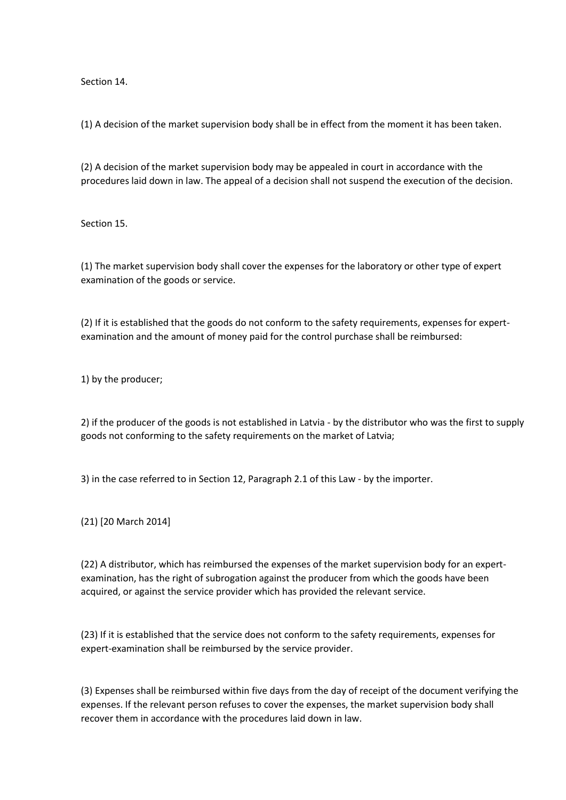Section 14.

(1) A decision of the market supervision body shall be in effect from the moment it has been taken.

(2) A decision of the market supervision body may be appealed in court in accordance with the procedures laid down in law. The appeal of a decision shall not suspend the execution of the decision.

Section 15.

(1) The market supervision body shall cover the expenses for the laboratory or other type of expert examination of the goods or service.

(2) If it is established that the goods do not conform to the safety requirements, expenses for expertexamination and the amount of money paid for the control purchase shall be reimbursed:

1) by the producer;

2) if the producer of the goods is not established in Latvia - by the distributor who was the first to supply goods not conforming to the safety requirements on the market of Latvia;

3) in the case referred to in Section 12, Paragraph 2.1 of this Law - by the importer.

(21) [20 March 2014]

(22) A distributor, which has reimbursed the expenses of the market supervision body for an expertexamination, has the right of subrogation against the producer from which the goods have been acquired, or against the service provider which has provided the relevant service.

(23) If it is established that the service does not conform to the safety requirements, expenses for expert-examination shall be reimbursed by the service provider.

(3) Expenses shall be reimbursed within five days from the day of receipt of the document verifying the expenses. If the relevant person refuses to cover the expenses, the market supervision body shall recover them in accordance with the procedures laid down in law.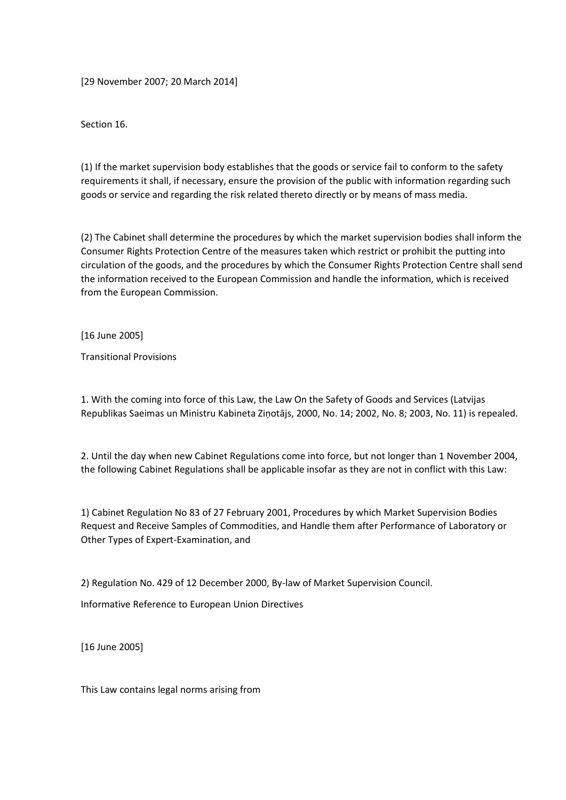[29 November 2007; 20 March 2014]

Section 16.

(1) If the market supervision body establishes that the goods or service fail to conform to the safety requirements it shall, if necessary, ensure the provision of the public with information regarding such goods or service and regarding the risk related thereto directly or by means of mass media.

(2) The Cabinet shall determine the procedures by which the market supervision bodies shall inform the Consumer Rights Protection Centre of the measures taken which restrict or prohibit the putting into circulation of the goods, and the procedures by which the Consumer Rights Protection Centre shall send the information received to the European Commission and handle the information, which is received from the European Commission.

[16 June 2005]

Transitional Provisions

1. With the coming into force of this Law, the Law On the Safety of Goods and Services (Latvijas Republikas Saeimas un Ministru Kabineta Ziņotājs, 2000, No. 14; 2002, No. 8; 2003, No. 11) is repealed.

2. Until the day when new Cabinet Regulations come into force, but not longer than 1 November 2004, the following Cabinet Regulations shall be applicable insofar as they are not in conflict with this Law:

1) Cabinet Regulation No 83 of 27 February 2001, Procedures by which Market Supervision Bodies Request and Receive Samples of Commodities, and Handle them after Performance of Laboratory or Other Types of Expert-Examination, and

2) Regulation No. 429 of 12 December 2000, By-law of Market Supervision Council.

Informative Reference to European Union Directives

[16 June 2005]

This Law contains legal norms arising from